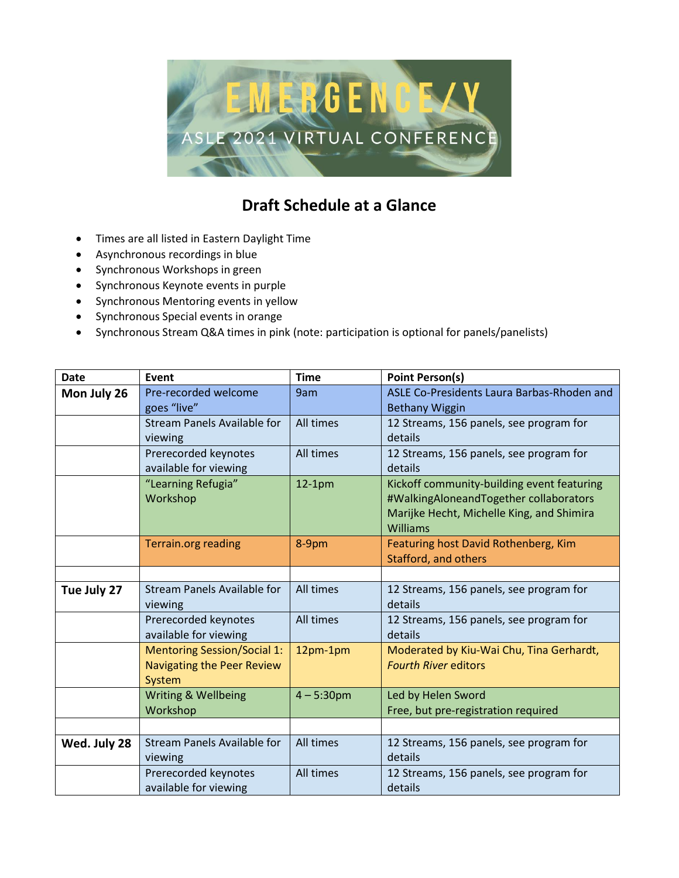

## **Draft Schedule at a Glance**

- Times are all listed in Eastern Daylight Time
- Asynchronous recordings in blue
- Synchronous Workshops in green
- Synchronous Keynote events in purple
- Synchronous Mentoring events in yellow
- Synchronous Special events in orange
- Synchronous Stream Q&A times in pink (note: participation is optional for panels/panelists)

| <b>Date</b>  | Event                              | <b>Time</b>   | <b>Point Person(s)</b>                     |
|--------------|------------------------------------|---------------|--------------------------------------------|
| Mon July 26  | Pre-recorded welcome               | 9am           | ASLE Co-Presidents Laura Barbas-Rhoden and |
|              | goes "live"                        |               | <b>Bethany Wiggin</b>                      |
|              | Stream Panels Available for        | All times     | 12 Streams, 156 panels, see program for    |
|              | viewing                            |               | details                                    |
|              | Prerecorded keynotes               | All times     | 12 Streams, 156 panels, see program for    |
|              | available for viewing              |               | details                                    |
|              | "Learning Refugia"                 | $12-1pm$      | Kickoff community-building event featuring |
|              | Workshop                           |               | #WalkingAloneandTogether collaborators     |
|              |                                    |               | Marijke Hecht, Michelle King, and Shimira  |
|              |                                    |               | Williams                                   |
|              | <b>Terrain.org reading</b>         | 8-9pm         | Featuring host David Rothenberg, Kim       |
|              |                                    |               | Stafford, and others                       |
|              |                                    |               |                                            |
| Tue July 27  | Stream Panels Available for        | All times     | 12 Streams, 156 panels, see program for    |
|              | viewing                            |               | details                                    |
|              | Prerecorded keynotes               | All times     | 12 Streams, 156 panels, see program for    |
|              | available for viewing              |               | details                                    |
|              | <b>Mentoring Session/Social 1:</b> | 12pm-1pm      | Moderated by Kiu-Wai Chu, Tina Gerhardt,   |
|              | <b>Navigating the Peer Review</b>  |               | <b>Fourth River editors</b>                |
|              | System                             |               |                                            |
|              | Writing & Wellbeing                | $4 - 5:30$ pm | Led by Helen Sword                         |
|              | Workshop                           |               | Free, but pre-registration required        |
|              |                                    |               |                                            |
| Wed. July 28 | <b>Stream Panels Available for</b> | All times     | 12 Streams, 156 panels, see program for    |
|              | viewing                            |               | details                                    |
|              | Prerecorded keynotes               | All times     | 12 Streams, 156 panels, see program for    |
|              | available for viewing              |               | details                                    |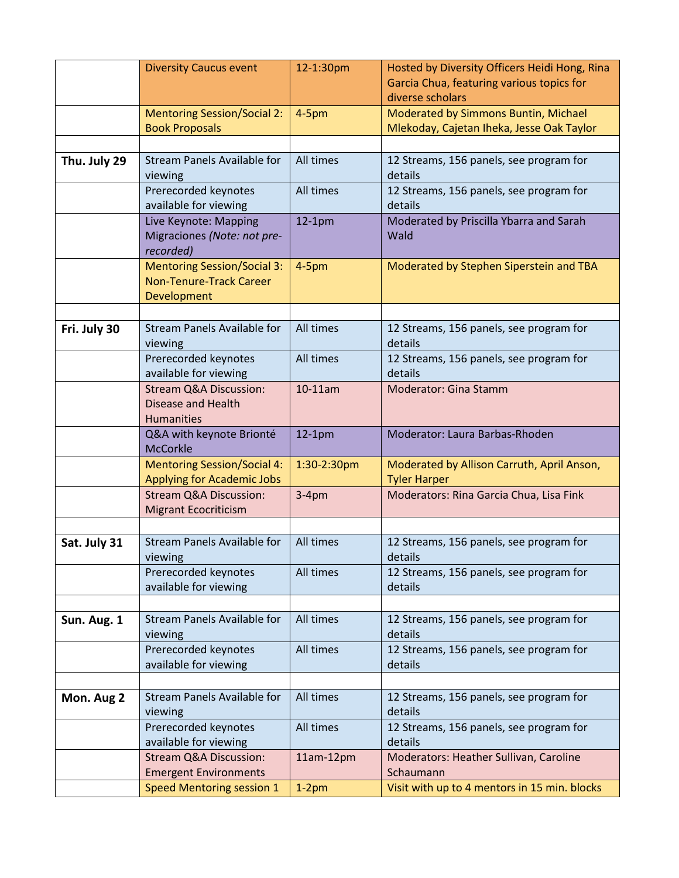|              | <b>Diversity Caucus event</b>                                                       | 12-1:30pm   | Hosted by Diversity Officers Heidi Hong, Rina                 |
|--------------|-------------------------------------------------------------------------------------|-------------|---------------------------------------------------------------|
|              |                                                                                     |             | Garcia Chua, featuring various topics for<br>diverse scholars |
|              | <b>Mentoring Session/Social 2:</b>                                                  | $4-5pm$     | Moderated by Simmons Buntin, Michael                          |
|              | <b>Book Proposals</b>                                                               |             | Mlekoday, Cajetan Iheka, Jesse Oak Taylor                     |
|              |                                                                                     |             |                                                               |
| Thu. July 29 | <b>Stream Panels Available for</b><br>viewing                                       | All times   | 12 Streams, 156 panels, see program for<br>details            |
|              | Prerecorded keynotes<br>available for viewing                                       | All times   | 12 Streams, 156 panels, see program for<br>details            |
|              | Live Keynote: Mapping<br>Migraciones (Note: not pre-<br>recorded)                   | $12-1pm$    | Moderated by Priscilla Ybarra and Sarah<br>Wald               |
|              | <b>Mentoring Session/Social 3:</b><br><b>Non-Tenure-Track Career</b><br>Development | $4-5pm$     | Moderated by Stephen Siperstein and TBA                       |
|              |                                                                                     |             |                                                               |
| Fri. July 30 | <b>Stream Panels Available for</b><br>viewing                                       | All times   | 12 Streams, 156 panels, see program for<br>details            |
|              | Prerecorded keynotes                                                                | All times   | 12 Streams, 156 panels, see program for                       |
|              | available for viewing                                                               |             | details                                                       |
|              | <b>Stream Q&amp;A Discussion:</b>                                                   | 10-11am     | <b>Moderator: Gina Stamm</b>                                  |
|              | <b>Disease and Health</b>                                                           |             |                                                               |
|              | Humanities                                                                          |             | Moderator: Laura Barbas-Rhoden                                |
|              | Q&A with keynote Brionté<br><b>McCorkle</b>                                         | $12-1pm$    |                                                               |
|              | <b>Mentoring Session/Social 4:</b>                                                  | 1:30-2:30pm | Moderated by Allison Carruth, April Anson,                    |
|              | <b>Applying for Academic Jobs</b>                                                   |             | <b>Tyler Harper</b>                                           |
|              | <b>Stream Q&amp;A Discussion:</b><br><b>Migrant Ecocriticism</b>                    | $3-4pm$     | Moderators: Rina Garcia Chua, Lisa Fink                       |
|              |                                                                                     |             |                                                               |
| Sat. July 31 | <b>Stream Panels Available for</b>                                                  | All times   | 12 Streams, 156 panels, see program for                       |
|              | viewing                                                                             |             | details                                                       |
|              | Prerecorded keynotes<br>available for viewing                                       | All times   | 12 Streams, 156 panels, see program for<br>details            |
|              |                                                                                     |             |                                                               |
| Sun. Aug. 1  | <b>Stream Panels Available for</b>                                                  | All times   | 12 Streams, 156 panels, see program for                       |
|              | viewing                                                                             |             | details                                                       |
|              | Prerecorded keynotes                                                                | All times   | 12 Streams, 156 panels, see program for                       |
|              | available for viewing                                                               |             | details                                                       |
|              | <b>Stream Panels Available for</b>                                                  | All times   |                                                               |
| Mon. Aug 2   | viewing                                                                             |             | 12 Streams, 156 panels, see program for<br>details            |
|              | Prerecorded keynotes                                                                | All times   | 12 Streams, 156 panels, see program for                       |
|              | available for viewing                                                               |             | details                                                       |
|              | <b>Stream Q&amp;A Discussion:</b>                                                   | 11am-12pm   | Moderators: Heather Sullivan, Caroline                        |
|              | <b>Emergent Environments</b><br>Speed Mentoring session 1                           |             | Schaumann                                                     |
|              |                                                                                     | $1-2pm$     | Visit with up to 4 mentors in 15 min. blocks                  |